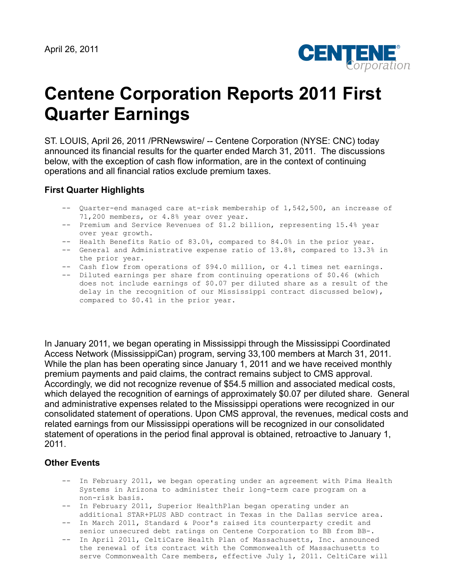

# **Centene Corporation Reports 2011 First Quarter Earnings**

ST. LOUIS, April 26, 2011 /PRNewswire/ -- Centene Corporation (NYSE: CNC) today announced its financial results for the quarter ended March 31, 2011. The discussions below, with the exception of cash flow information, are in the context of continuing operations and all financial ratios exclude premium taxes.

## **First Quarter Highlights**

- -- Quarter-end managed care at-risk membership of 1,542,500, an increase of 71,200 members, or 4.8% year over year.
- -- Premium and Service Revenues of \$1.2 billion, representing 15.4% year over year growth.
- -- Health Benefits Ratio of 83.0%, compared to 84.0% in the prior year.
- -- General and Administrative expense ratio of 13.8%, compared to 13.3% in the prior year.
- -- Cash flow from operations of \$94.0 million, or 4.1 times net earnings.
- -- Diluted earnings per share from continuing operations of \$0.46 (which does not include earnings of \$0.07 per diluted share as a result of the delay in the recognition of our Mississippi contract discussed below), compared to \$0.41 in the prior year.

In January 2011, we began operating in Mississippi through the Mississippi Coordinated Access Network (MississippiCan) program, serving 33,100 members at March 31, 2011. While the plan has been operating since January 1, 2011 and we have received monthly premium payments and paid claims, the contract remains subject to CMS approval. Accordingly, we did not recognize revenue of \$54.5 million and associated medical costs, which delayed the recognition of earnings of approximately \$0.07 per diluted share. General and administrative expenses related to the Mississippi operations were recognized in our consolidated statement of operations. Upon CMS approval, the revenues, medical costs and related earnings from our Mississippi operations will be recognized in our consolidated statement of operations in the period final approval is obtained, retroactive to January 1, 2011.

## **Other Events**

- -- In February 2011, we began operating under an agreement with Pima Health Systems in Arizona to administer their long-term care program on a non-risk basis.
- -- In February 2011, Superior HealthPlan began operating under an additional STAR+PLUS ABD contract in Texas in the Dallas service area.
- -- In March 2011, Standard & Poor's raised its counterparty credit and senior unsecured debt ratings on Centene Corporation to BB from BB-.
- -- In April 2011, CeltiCare Health Plan of Massachusetts, Inc. announced the renewal of its contract with the Commonwealth of Massachusetts to serve Commonwealth Care members, effective July 1, 2011. CeltiCare will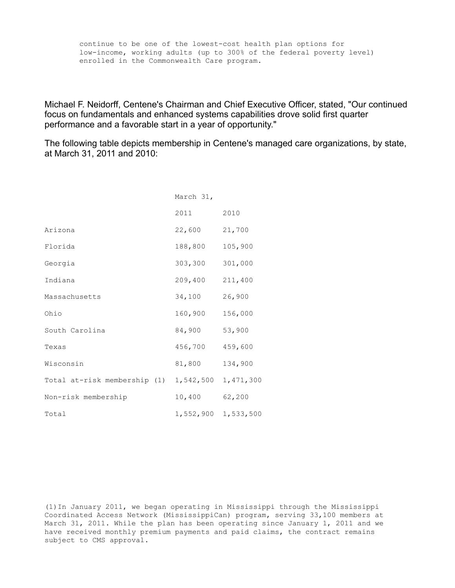continue to be one of the lowest-cost health plan options for low-income, working adults (up to 300% of the federal poverty level) enrolled in the Commonwealth Care program.

Michael F. Neidorff, Centene's Chairman and Chief Executive Officer, stated, "Our continued focus on fundamentals and enhanced systems capabilities drove solid first quarter performance and a favorable start in a year of opportunity."

The following table depicts membership in Centene's managed care organizations, by state, at March 31, 2011 and 2010:

|                                        | March 31, |           |
|----------------------------------------|-----------|-----------|
|                                        | 2011      | 2010      |
| Arizona                                | 22,600    | 21,700    |
| Florida                                | 188,800   | 105,900   |
| Georgia                                | 303,300   | 301,000   |
| Indiana                                | 209,400   | 211,400   |
| Massachusetts                          | 34,100    | 26,900    |
| Ohio                                   | 160,900   | 156,000   |
| South Carolina                         | 84,900    | 53,900    |
| Texas                                  | 456,700   | 459,600   |
| Wisconsin                              | 81,800    | 134,900   |
| Total at-risk membership (1) 1,542,500 |           | 1,471,300 |
| Non-risk membership                    | 10,400    | 62,200    |
| Total                                  | 1,552,900 | 1,533,500 |

(1)In January 2011, we began operating in Mississippi through the Mississippi Coordinated Access Network (MississippiCan) program, serving 33,100 members at March 31, 2011. While the plan has been operating since January 1, 2011 and we have received monthly premium payments and paid claims, the contract remains subject to CMS approval.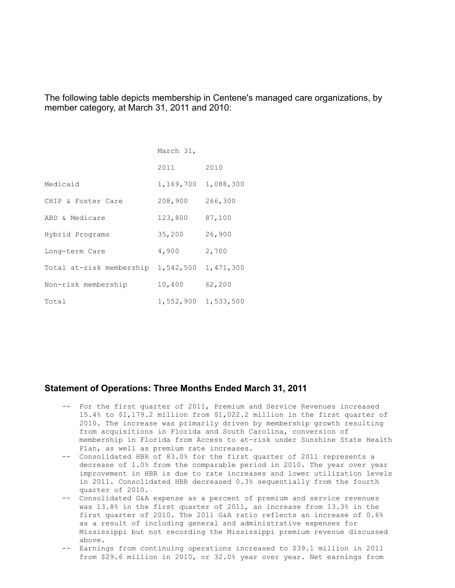The following table depicts membership in Centene's managed care organizations, by member category, at March 31, 2011 and 2010:

|                          | March 31, |           |
|--------------------------|-----------|-----------|
|                          | 2011      | 2010      |
| Medicaid                 | 1,169,700 | 1,088,300 |
| CHIP & Foster Care       | 208,900   | 266,300   |
| ABD & Medicare           | 123,800   | 87,100    |
| Hybrid Programs          | 35,200    | 26,900    |
| Long-term Care           | 4,900     | 2,700     |
| Total at-risk membership | 1,542,500 | 1,471,300 |
| Non-risk membership      | 10,400    | 62,200    |
| Total                    | 1,552,900 | 1,533,500 |

## **Statement of Operations: Three Months Ended March 31, 2011**

- -- For the first quarter of 2011, Premium and Service Revenues increased 15.4% to \$1,179.2 million from \$1,022.2 million in the first quarter of 2010. The increase was primarily driven by membership growth resulting from acquisitions in Florida and South Carolina, conversion of membership in Florida from Access to at-risk under Sunshine State Health Plan, as well as premium rate increases.
- -- Consolidated HBR of 83.0% for the first quarter of 2011 represents a decrease of 1.0% from the comparable period in 2010. The year over year improvement in HBR is due to rate increases and lower utilization levels in 2011. Consolidated HBR decreased 0.3% sequentially from the fourth quarter of 2010.
- -- Consolidated G&A expense as a percent of premium and service revenues was 13.8% in the first quarter of 2011, an increase from 13.3% in the first quarter of 2010. The 2011 G&A ratio reflects an increase of 0.6% as a result of including general and administrative expenses for Mississippi but not recording the Mississippi premium revenue discussed above.
- -- Earnings from continuing operations increased to \$39.1 million in 2011 from \$29.6 million in 2010, or 32.0% year over year. Net earnings from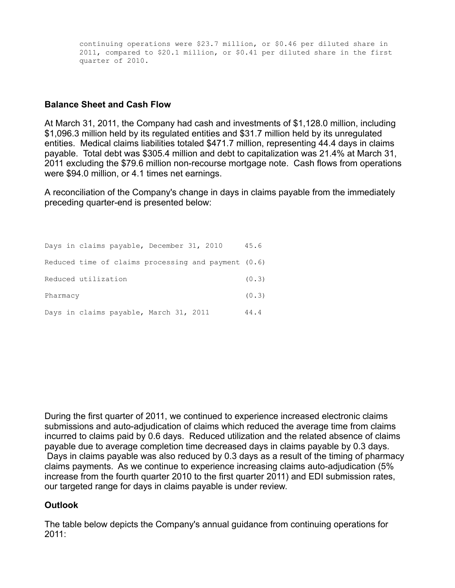continuing operations were \$23.7 million, or \$0.46 per diluted share in 2011, compared to \$20.1 million, or \$0.41 per diluted share in the first quarter of 2010.

# **Balance Sheet and Cash Flow**

At March 31, 2011, the Company had cash and investments of \$1,128.0 million, including \$1,096.3 million held by its regulated entities and \$31.7 million held by its unregulated entities. Medical claims liabilities totaled \$471.7 million, representing 44.4 days in claims payable. Total debt was \$305.4 million and debt to capitalization was 21.4% at March 31, 2011 excluding the \$79.6 million non-recourse mortgage note. Cash flows from operations were \$94.0 million, or 4.1 times net earnings.

A reconciliation of the Company's change in days in claims payable from the immediately preceding quarter-end is presented below:

| Days in claims payable, December 31, 2010             | 45.6  |
|-------------------------------------------------------|-------|
| Reduced time of claims processing and payment $(0.6)$ |       |
| Reduced utilization                                   | (0.3) |
| Pharmacy                                              | (0.3) |
| Days in claims payable, March 31, 2011                | 44.4  |

During the first quarter of 2011, we continued to experience increased electronic claims submissions and auto-adjudication of claims which reduced the average time from claims incurred to claims paid by 0.6 days. Reduced utilization and the related absence of claims payable due to average completion time decreased days in claims payable by 0.3 days. Days in claims payable was also reduced by 0.3 days as a result of the timing of pharmacy claims payments. As we continue to experience increasing claims auto-adjudication (5% increase from the fourth quarter 2010 to the first quarter 2011) and EDI submission rates, our targeted range for days in claims payable is under review.

# **Outlook**

The table below depicts the Company's annual guidance from continuing operations for 2011: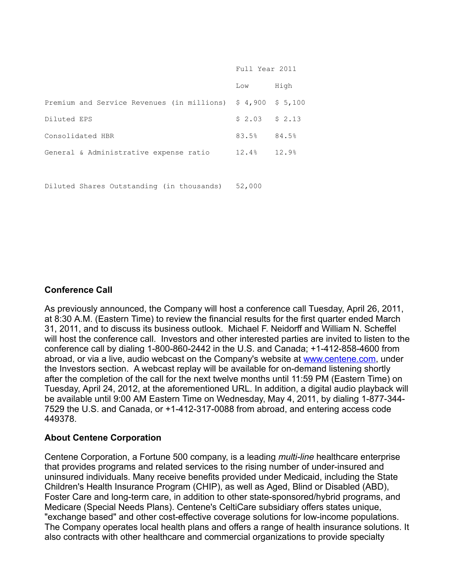|                                                                                    | Full Year 2011  |       |  |
|------------------------------------------------------------------------------------|-----------------|-------|--|
|                                                                                    | Low             | High  |  |
| Premium and Service Revenues (in millions) $\frac{2}{7}$ 4,900 $\frac{2}{7}$ 5,100 |                 |       |  |
| Diluted EPS                                                                        | $$2.03$ $$2.13$ |       |  |
| Consolidated HBR                                                                   | 83.5%           | 84.5% |  |
| General & Administrative expense ratio                                             | 12.4%           | 12.9% |  |
|                                                                                    |                 |       |  |

Diluted Shares Outstanding (in thousands) 52,000

# **Conference Call**

As previously announced, the Company will host a conference call Tuesday, April 26, 2011, at 8:30 A.M. (Eastern Time) to review the financial results for the first quarter ended March 31, 2011, and to discuss its business outlook. Michael F. Neidorff and William N. Scheffel will host the conference call. Investors and other interested parties are invited to listen to the conference call by dialing 1-800-860-2442 in the U.S. and Canada; +1-412-858-4600 from abroad, or via a live, audio webcast on the Company's website at [www.centene.com,](http://www.centene.com/) under the Investors section. A webcast replay will be available for on-demand listening shortly after the completion of the call for the next twelve months until 11:59 PM (Eastern Time) on Tuesday, April 24, 2012, at the aforementioned URL. In addition, a digital audio playback will be available until 9:00 AM Eastern Time on Wednesday, May 4, 2011, by dialing 1-877-344- 7529 the U.S. and Canada, or +1-412-317-0088 from abroad, and entering access code 449378.

# **About Centene Corporation**

Centene Corporation, a Fortune 500 company, is a leading *multi-line* healthcare enterprise that provides programs and related services to the rising number of under-insured and uninsured individuals. Many receive benefits provided under Medicaid, including the State Children's Health Insurance Program (CHIP), as well as Aged, Blind or Disabled (ABD), Foster Care and long-term care, in addition to other state-sponsored/hybrid programs, and Medicare (Special Needs Plans). Centene's CeltiCare subsidiary offers states unique, "exchange based" and other cost-effective coverage solutions for low-income populations. The Company operates local health plans and offers a range of health insurance solutions. It also contracts with other healthcare and commercial organizations to provide specialty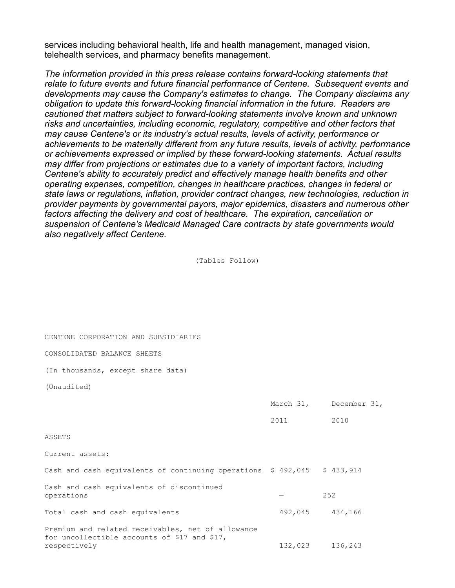services including behavioral health, life and health management, managed vision, telehealth services, and pharmacy benefits management.

*The information provided in this press release contains forward-looking statements that relate to future events and future financial performance of Centene. Subsequent events and developments may cause the Company's estimates to change. The Company disclaims any obligation to update this forward-looking financial information in the future. Readers are cautioned that matters subject to forward-looking statements involve known and unknown risks and uncertainties, including economic, regulatory, competitive and other factors that may cause Centene's or its industry's actual results, levels of activity, performance or achievements to be materially different from any future results, levels of activity, performance or achievements expressed or implied by these forward-looking statements. Actual results may differ from projections or estimates due to a variety of important factors, including Centene's ability to accurately predict and effectively manage health benefits and other operating expenses, competition, changes in healthcare practices, changes in federal or state laws or regulations, inflation, provider contract changes, new technologies, reduction in provider payments by governmental payors, major epidemics, disasters and numerous other factors affecting the delivery and cost of healthcare. The expiration, cancellation or suspension of Centene's Medicaid Managed Care contracts by state governments would also negatively affect Centene.* 

(Tables Follow)

CENTENE CORPORATION AND SUBSIDIARIES

#### CONSOLIDATED BALANCE SHEETS

(In thousands, except share data)

(Unaudited)

|                                                                                                                   |      | March 31, December 31, |
|-------------------------------------------------------------------------------------------------------------------|------|------------------------|
|                                                                                                                   | 2011 | 2010                   |
| ASSETS                                                                                                            |      |                        |
| Current assets:                                                                                                   |      |                        |
| Cash and cash equivalents of continuing operations \$492,045 \$433,914                                            |      |                        |
| Cash and cash equivalents of discontinued<br>operations                                                           |      | 252                    |
| Total cash and cash equivalents                                                                                   |      | 492,045 434,166        |
| Premium and related receivables, net of allowance<br>for uncollectible accounts of \$17 and \$17,<br>respectively |      | 132,023 136,243        |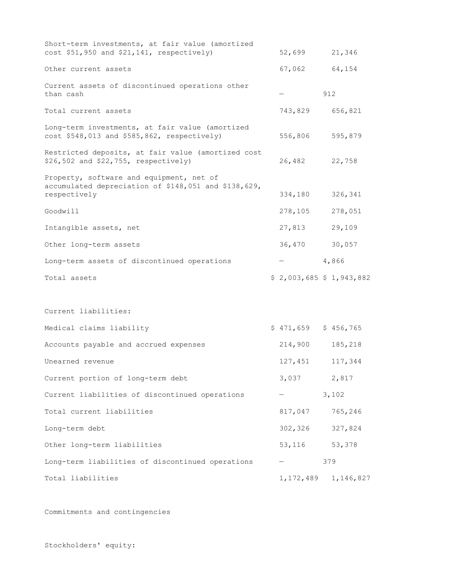| Short-term investments, at fair value (amortized<br>cost \$51,950 and \$21,141, respectively)                    | 52,699                  |     | 21,346    |
|------------------------------------------------------------------------------------------------------------------|-------------------------|-----|-----------|
| Other current assets                                                                                             | 67,062                  |     | 64,154    |
| Current assets of discontinued operations other                                                                  |                         |     |           |
| than cash                                                                                                        |                         | 912 |           |
| Total current assets                                                                                             | 743,829                 |     | 656,821   |
| Long-term investments, at fair value (amortized<br>cost \$548,013 and \$585,862, respectively)                   | 556,806                 |     | 595,879   |
| Restricted deposits, at fair value (amortized cost<br>\$26,502 and \$22,755, respectively)                       | 26,482                  |     | 22,758    |
| Property, software and equipment, net of<br>accumulated depreciation of \$148,051 and \$138,629,<br>respectively | 334,180                 |     | 326,341   |
| Goodwill                                                                                                         | 278,105                 |     | 278,051   |
| Intangible assets, net                                                                                           | 27,813                  |     | 29,109    |
| Other long-term assets                                                                                           | 36,470                  |     | 30,057    |
| Long-term assets of discontinued operations                                                                      |                         |     | 4,866     |
| Total assets                                                                                                     | \$2,003,685 \$1,943,882 |     |           |
|                                                                                                                  |                         |     |           |
| Current liabilities:                                                                                             |                         |     |           |
| Medical claims liability                                                                                         | $$471,659$ $$456,765$   |     |           |
| Accounts payable and accrued expenses                                                                            | 214,900                 |     | 185,218   |
| Unearned revenue                                                                                                 | 127,451                 |     | 117,344   |
| Current portion of long-term debt                                                                                | 3,037                   |     | 2,817     |
| Current liabilities of discontinued operations                                                                   |                         |     | 3,102     |
| Total current liabilities                                                                                        | 817,047                 |     | 765,246   |
| Long-term debt                                                                                                   | 302,326                 |     | 327,824   |
| Other long-term liabilities                                                                                      | 53,116                  |     | 53,378    |
| Long-term liabilities of discontinued operations                                                                 |                         | 379 |           |
| Total liabilities                                                                                                | 1,172,489               |     | 1,146,827 |

Commitments and contingencies

Stockholders' equity: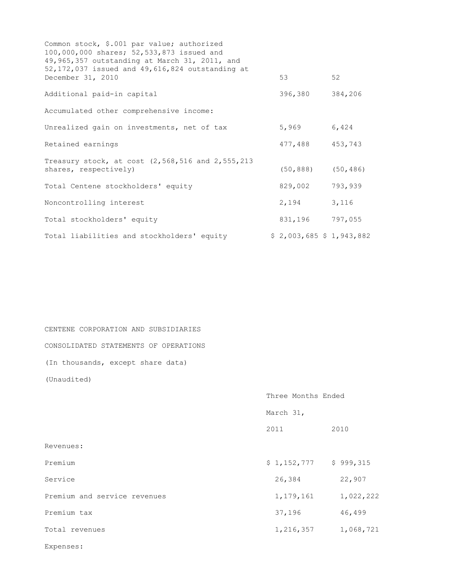| Common stock, \$.001 par value; authorized<br>100,000,000 shares; 52,533,873 issued and<br>49,965,357 outstanding at March 31, 2011, and |                         |         |
|------------------------------------------------------------------------------------------------------------------------------------------|-------------------------|---------|
| 52, 172, 037 issued and 49, 616, 824 outstanding at<br>December 31, 2010                                                                 | 53                      | 52      |
| Additional paid-in capital                                                                                                               | 396,380                 | 384,206 |
| Accumulated other comprehensive income:                                                                                                  |                         |         |
| Unrealized gain on investments, net of tax                                                                                               | 5,969                   | 6,424   |
| Retained earnings                                                                                                                        | 477,488                 | 453,743 |
| Treasury stock, at cost (2,568,516 and 2,555,213<br>shares, respectively)                                                                | $(50, 888)$ $(50, 486)$ |         |
| Total Centene stockholders' equity                                                                                                       | 829,002                 | 793,939 |
| Noncontrolling interest                                                                                                                  | 2,194                   | 3,116   |
| Total stockholders' equity                                                                                                               | 831,196 797,055         |         |
| Total liabilities and stockholders' equity                                                                                               | \$2,003,685 \$1,943,882 |         |

CENTENE CORPORATION AND SUBSIDIARIES CONSOLIDATED STATEMENTS OF OPERATIONS (In thousands, except share data) (Unaudited)

 Three Months Ended March 31, 2011 2010 Revenues: Premium \$ 1,152,777 \$ 999,315 Service 26,384 22,907 Premium and service revenues 1,179,161 1,022,222 Premium tax 37,196 46,499 Total revenues 1,216,357 1,068,721

Expenses: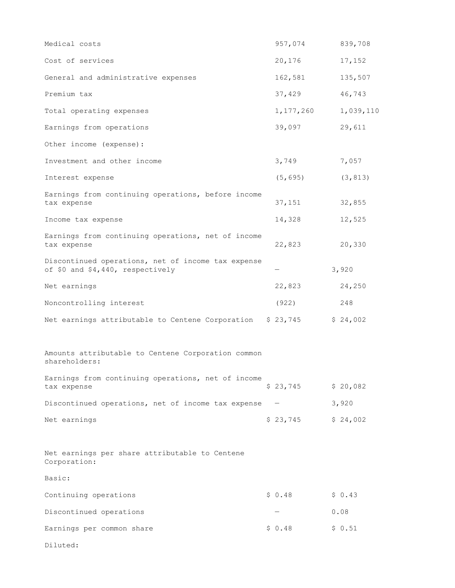| Medical costs                                                                          | 957,074             | 839,708   |
|----------------------------------------------------------------------------------------|---------------------|-----------|
| Cost of services                                                                       | 20,176              | 17,152    |
| General and administrative expenses                                                    | 162,581             | 135,507   |
| Premium tax                                                                            | 37,429              | 46,743    |
| Total operating expenses                                                               | 1,177,260           | 1,039,110 |
| Earnings from operations                                                               | 39,097              | 29,611    |
| Other income (expense):                                                                |                     |           |
| Investment and other income                                                            | 3,749               | 7,057     |
| Interest expense                                                                       | (5, 695)            | (3, 813)  |
| Earnings from continuing operations, before income<br>tax expense                      | 37,151              | 32,855    |
| Income tax expense                                                                     | 14,328              | 12,525    |
| Earnings from continuing operations, net of income<br>tax expense                      | 22,823              | 20,330    |
| Discontinued operations, net of income tax expense<br>of \$0 and \$4,440, respectively |                     | 3,920     |
| Net earnings                                                                           | 22,823              | 24,250    |
| Noncontrolling interest                                                                | (922)               | 248       |
| Net earnings attributable to Centene Corporation                                       | \$23,745            | \$24,002  |
| Amounts attributable to Centene Corporation common<br>shareholders:                    |                     |           |
| Earnings from continuing operations, net of income<br>tax expense                      | \$23,745            | \$20,082  |
| Discontinued operations, net of income tax expense                                     |                     | 3,920     |
| Net earnings                                                                           | $$23,745$ $$24,002$ |           |
| Net earnings per share attributable to Centene<br>Corporation:                         |                     |           |
| Basic:                                                                                 |                     |           |
| Continuing operations                                                                  | \$0.48              | \$0.43    |
| Discontinued operations                                                                |                     | 0.08      |
| Earnings per common share                                                              | \$0.48              | \$0.51    |
| Diluted:                                                                               |                     |           |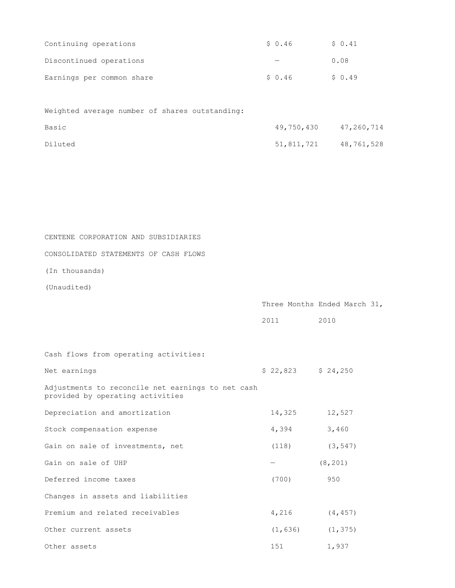| Continuing operations     | \$ 0.46 | \$0.41 |
|---------------------------|---------|--------|
| Discontinued operations   |         | 0.08   |
| Earnings per common share | \$ 0.46 | \$0.49 |

|         |  |  | Weighted average number of shares outstanding: |            |                       |
|---------|--|--|------------------------------------------------|------------|-----------------------|
| Basic   |  |  |                                                |            | 49,750,430 47,260,714 |
| Diluted |  |  |                                                | 51,811,721 | 48,761,528            |

CONSOLIDATED STATEMENTS OF CASH FLOWS

(In thousands)

(Unaudited)

|      | Three Months Ended March 31, |  |
|------|------------------------------|--|
| 2011 | 2010                         |  |
|      |                              |  |

Cash flows from operating activities:

| Net earnings                                                                          | $$22,823$ $$24,250$ |                       |
|---------------------------------------------------------------------------------------|---------------------|-----------------------|
| Adjustments to reconcile net earnings to net cash<br>provided by operating activities |                     |                       |
| Depreciation and amortization                                                         | 14,325              | 12,527                |
| Stock compensation expense                                                            | 4,394               | 3,460                 |
| Gain on sale of investments, net                                                      | (118)               | (3, 547)              |
| Gain on sale of UHP                                                                   |                     | (8, 201)              |
| Deferred income taxes                                                                 | (700)               | 950                   |
| Changes in assets and liabilities                                                     |                     |                       |
| Premium and related receivables                                                       | 4,216               | (4, 457)              |
| Other current assets                                                                  |                     | $(1, 636)$ $(1, 375)$ |
| Other assets                                                                          | 151                 | 1,937                 |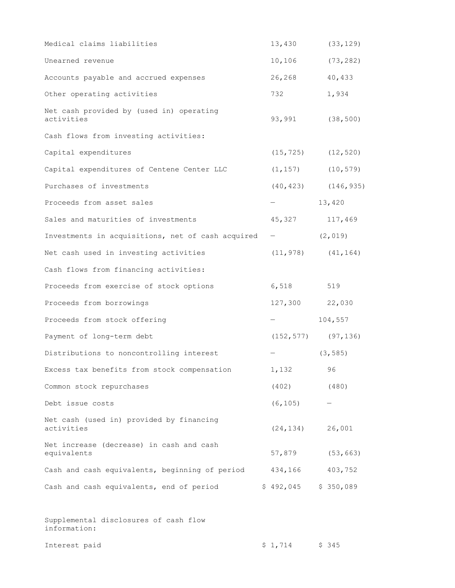| Medical claims liabilities                              | 13,430                   | (33, 129) |
|---------------------------------------------------------|--------------------------|-----------|
| Unearned revenue                                        | 10,106                   | (73, 282) |
| Accounts payable and accrued expenses                   | 26,268                   | 40,433    |
| Other operating activities                              | 732                      | 1,934     |
| Net cash provided by (used in) operating<br>activities  | 93,991                   | (38, 500) |
| Cash flows from investing activities:                   |                          |           |
| Capital expenditures                                    | $(15, 725)$ $(12, 520)$  |           |
| Capital expenditures of Centene Center LLC              | $(1, 157)$ $(10, 579)$   |           |
| Purchases of investments                                | $(40, 423)$ $(146, 935)$ |           |
| Proceeds from asset sales                               |                          | 13,420    |
| Sales and maturities of investments                     | 45,327                   | 117,469   |
| Investments in acquisitions, net of cash acquired -     |                          | (2, 019)  |
| Net cash used in investing activities                   | $(11, 978)$ $(41, 164)$  |           |
| Cash flows from financing activities:                   |                          |           |
| Proceeds from exercise of stock options                 | 6,518                    | 519       |
| Proceeds from borrowings                                | 127,300                  | 22,030    |
| Proceeds from stock offering                            |                          | 104,557   |
| Payment of long-term debt                               | $(152, 577)$ (97,136)    |           |
| Distributions to noncontrolling interest                |                          | (3, 585)  |
| Excess tax benefits from stock compensation             | 1,132                    | 96        |
| Common stock repurchases                                | $(402)$ $(480)$          |           |
| Debt issue costs                                        | (6, 105)                 |           |
| Net cash (used in) provided by financing<br>activities  | (24, 134)                | 26,001    |
| Net increase (decrease) in cash and cash<br>equivalents | 57,879                   | (53, 663) |
| Cash and cash equivalents, beginning of period          | 434,166                  | 403,752   |
| Cash and cash equivalents, end of period                | \$492,045                | \$350,089 |
|                                                         |                          |           |

Supplemental disclosures of cash flow information: Interest paid  $$ 1,714$   $$ 345$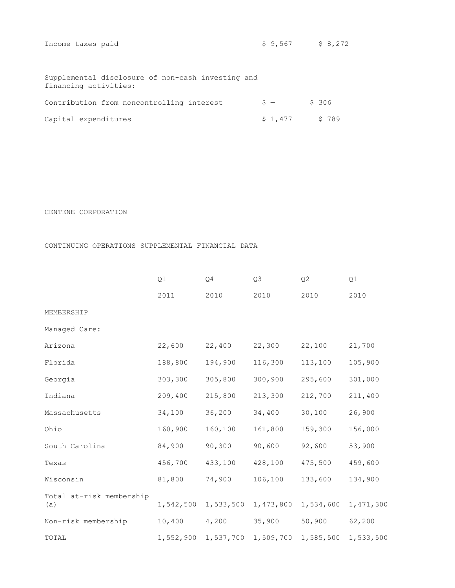| Income taxes paid                                                          | \$9,567 | \$8,272 |
|----------------------------------------------------------------------------|---------|---------|
|                                                                            |         |         |
| Supplemental disclosure of non-cash investing and<br>financing activities: |         |         |
| Contribution from noncontrolling interest                                  | $S -$   | \$306   |
| Capital expenditures                                                       | \$1,477 | \$789   |

#### CENTENE CORPORATION

### CONTINUING OPERATIONS SUPPLEMENTAL FINANCIAL DATA

|                                 | Q1      | Q <sub>4</sub>      | Q <sub>3</sub> | Q <sub>2</sub> | Q1        |
|---------------------------------|---------|---------------------|----------------|----------------|-----------|
|                                 | 2011    | 2010                | 2010           | 2010           | 2010      |
| MEMBERSHIP                      |         |                     |                |                |           |
| Managed Care:                   |         |                     |                |                |           |
| Arizona                         | 22,600  | 22,400              | 22,300         | 22,100         | 21,700    |
| Florida                         | 188,800 | 194,900             | 116,300        | 113,100        | 105,900   |
| Georgia                         | 303,300 | 305,800             | 300,900        | 295,600        | 301,000   |
| Indiana                         | 209,400 | 215,800             | 213,300        | 212,700        | 211,400   |
| Massachusetts                   | 34,100  | 36,200              | 34,400         | 30,100         | 26,900    |
| Ohio                            | 160,900 | 160,100             | 161,800        | 159,300        | 156,000   |
| South Carolina                  | 84,900  | 90,300              | 90,600         | 92,600         | 53,900    |
| Texas                           | 456,700 | 433,100             | 428,100        | 475,500        | 459,600   |
| Wisconsin                       | 81,800  | 74,900              | 106,100        | 133,600        | 134,900   |
| Total at-risk membership<br>(a) |         | 1,542,500 1,533,500 | 1,473,800      | 1,534,600      | 1,471,300 |
| Non-risk membership             | 10,400  | 4,200               | 35,900         | 50,900         | 62,200    |
| TOTAL                           |         | 1,552,900 1,537,700 | 1,509,700      | 1,585,500      | 1,533,500 |
|                                 |         |                     |                |                |           |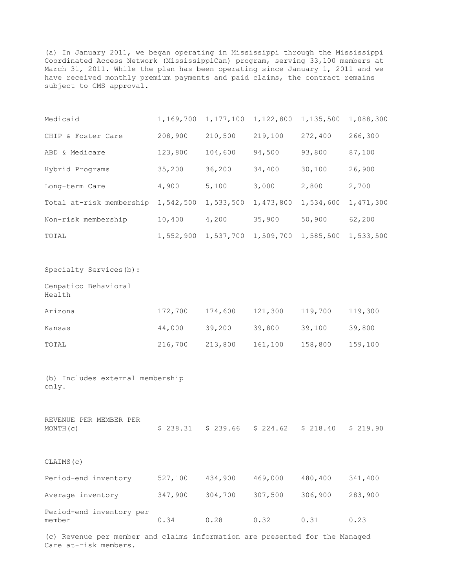(a) In January 2011, we began operating in Mississippi through the Mississippi Coordinated Access Network (MississippiCan) program, serving 33,100 members at March 31, 2011. While the plan has been operating since January 1, 2011 and we have received monthly premium payments and paid claims, the contract remains subject to CMS approval.

| Medicaid                                     |         | 1,169,700 1,177,100 | 1,122,800 | 1,135,500           | 1,088,300 |
|----------------------------------------------|---------|---------------------|-----------|---------------------|-----------|
| CHIP & Foster Care                           | 208,900 | 210,500             | 219,100   | 272,400             | 266,300   |
| ABD & Medicare                               | 123,800 | 104,600             | 94,500    | 93,800              | 87,100    |
| Hybrid Programs                              | 35,200  | 36,200              | 34,400    | 30,100              | 26,900    |
| Long-term Care                               | 4,900   | 5,100               | 3,000     | 2,800               | 2,700     |
| Total at-risk membership 1,542,500 1,533,500 |         |                     | 1,473,800 | 1,534,600           | 1,471,300 |
| Non-risk membership                          | 10,400  | 4,200               | 35,900    | 50,900              | 62,200    |
| TOTAL                                        |         | 1,552,900 1,537,700 | 1,509,700 | 1,585,500           | 1,533,500 |
|                                              |         |                     |           |                     |           |
| Specialty Services (b) :                     |         |                     |           |                     |           |
| Cenpatico Behavioral<br>Health               |         |                     |           |                     |           |
| Arizona                                      | 172,700 | 174,600             | 121,300   | 119,700             | 119,300   |
| Kansas                                       | 44,000  | 39,200              | 39,800    | 39,100              | 39,800    |
| TOTAL                                        | 216,700 | 213,800             | 161,100   | 158,800             | 159,100   |
|                                              |         |                     |           |                     |           |
| (b) Includes external membership<br>only.    |         |                     |           |                     |           |
|                                              |         |                     |           |                     |           |
| REVENUE PER MEMBER PER<br>MONTH(c)           |         | $$238.31$ $$239.66$ |           | $$224.62$ $$218.40$ | \$219.90  |
| CLAIMS (c)                                   |         |                     |           |                     |           |
| Period-end inventory                         | 527,100 | 434,900             | 469,000   | 480,400             | 341,400   |
| Average inventory                            | 347,900 | 304,700             | 307,500   | 306,900             | 283,900   |

| Period-end inventory per |      |      |               |      |
|--------------------------|------|------|---------------|------|
| member                   | 0.34 | 0.28 | $0.32$ $0.31$ | 0.23 |

(c) Revenue per member and claims information are presented for the Managed Care at-risk members.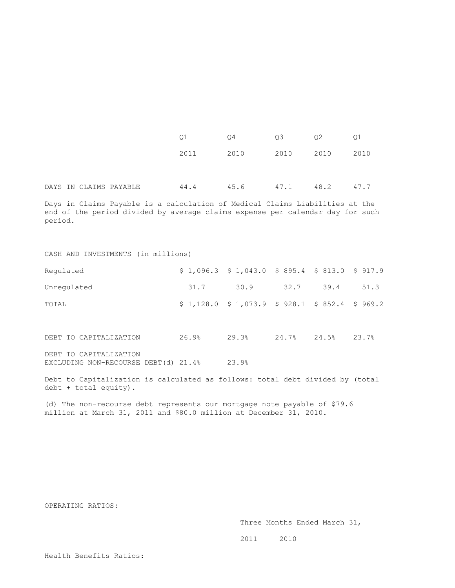|  |                        | 01   | Q4   | Q3   | 02   | Q1   |
|--|------------------------|------|------|------|------|------|
|  |                        | 2011 | 2010 | 2010 | 2010 | 2010 |
|  | DAYS IN CLAIMS PAYABLE | 44.4 | 45.6 | 47.1 | 48.2 | 47.7 |

Days in Claims Payable is a calculation of Medical Claims Liabilities at the end of the period divided by average claims expense per calendar day for such period.

#### CASH AND INVESTMENTS (in millions)

| Requlated   | $$1,096.3$ $$1,043.0$ $$895.4$ $$813.0$ $$917.9$ |      |      |      |      |
|-------------|--------------------------------------------------|------|------|------|------|
| Unregulated | 31.7                                             | 30.9 | 32.7 | 39.4 | 51.3 |
| TOTAL       | $$1,128.0$ $$1,073.9$ $$928.1$ $$852.4$ $$969.2$ |      |      |      |      |

DEBT TO CAPITALIZATION 26.9% 29.3% 24.7% 24.5% 23.7% DEBT TO CAPITALIZATION

EXCLUDING NON-RECOURSE DEBT(d) 21.4% 23.9%

Debt to Capitalization is calculated as follows: total debt divided by (total debt + total equity).

(d) The non-recourse debt represents our mortgage note payable of \$79.6 million at March 31, 2011 and \$80.0 million at December 31, 2010.

OPERATING RATIOS:

Three Months Ended March 31,

2011 2010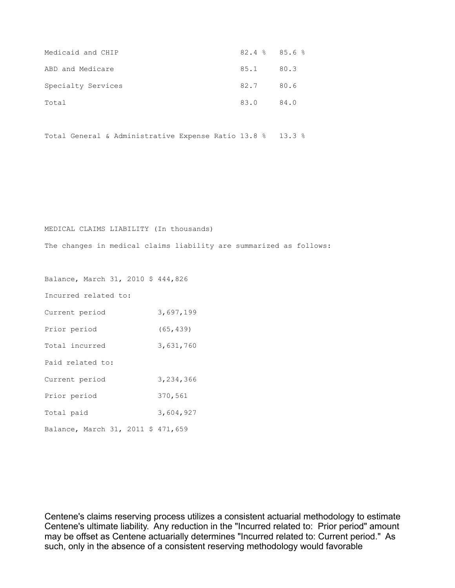| Medicaid and CHIP  | $82.4$ $8$ $85.6$ $8$ |      |
|--------------------|-----------------------|------|
| ABD and Medicare   | 85.1 80.3             |      |
| Specialty Services | 82.7 80.6             |      |
| Total              | 83.0                  | 84.0 |

Total General & Administrative Expense Ratio 13.8 % 13.3 %

MEDICAL CLAIMS LIABILITY (In thousands)

The changes in medical claims liability are summarized as follows:

Balance, March 31, 2010 \$ 444,826

Incurred related to:

| Current period                     | 3,697,199 |
|------------------------------------|-----------|
| Prior period                       | (65, 439) |
| Total incurred                     | 3,631,760 |
| Paid related to:                   |           |
| Current period                     | 3,234,366 |
| Prior period                       | 370,561   |
| Total paid                         | 3,604,927 |
| Balance, March 31, 2011 \$ 471,659 |           |

Centene's claims reserving process utilizes a consistent actuarial methodology to estimate Centene's ultimate liability. Any reduction in the "Incurred related to: Prior period" amount may be offset as Centene actuarially determines "Incurred related to: Current period." As such, only in the absence of a consistent reserving methodology would favorable